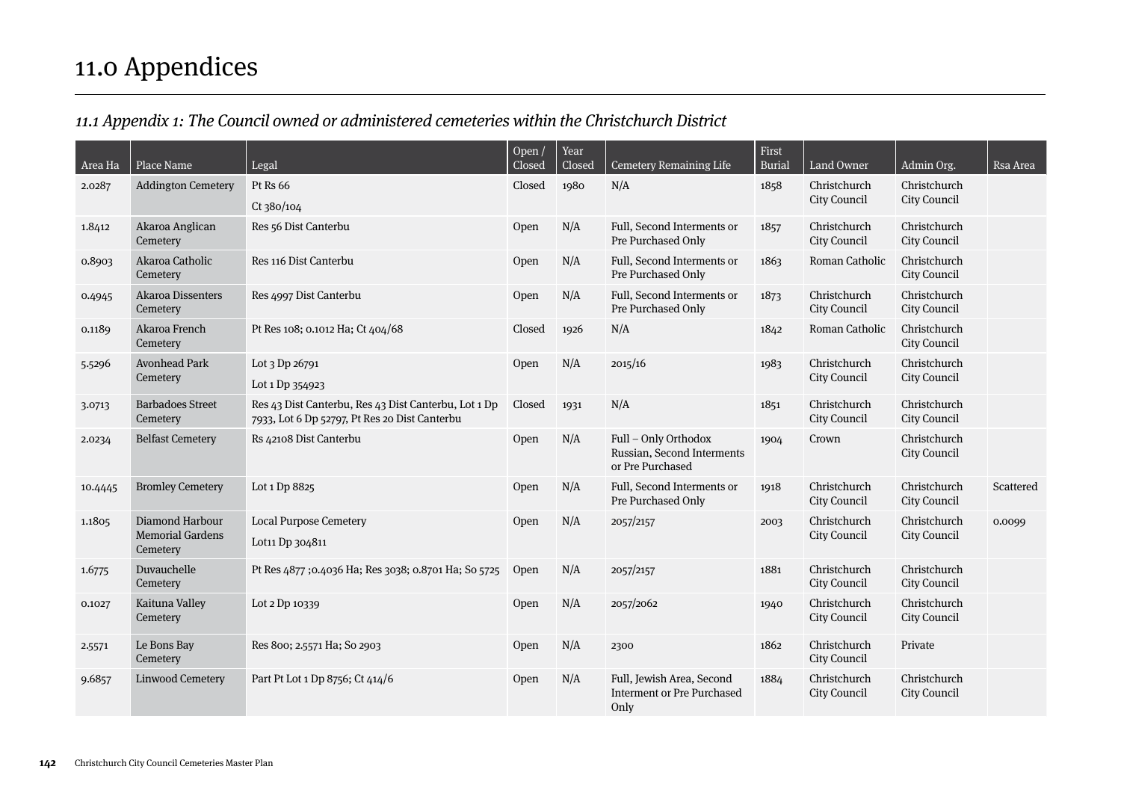# 11.0 Appendices

# 11.1 Appendix 1: The Council owned or administered cemeteries within the Christchurch District

| Area Ha | Place Name                                             | Legal                                                                                                 | Open /<br>Closed | Year<br>Closed | <b>Cemetery Remaining Life</b>                                         | First<br><b>Burial</b> | Land Owner                          | Admin Org.                          | Rsa Area  |
|---------|--------------------------------------------------------|-------------------------------------------------------------------------------------------------------|------------------|----------------|------------------------------------------------------------------------|------------------------|-------------------------------------|-------------------------------------|-----------|
| 2.0287  | <b>Addington Cemetery</b>                              | Pt Rs 66<br>Ct 380/104                                                                                | Closed           | 1980           | N/A                                                                    | 1858                   | Christchurch<br>City Council        | Christchurch<br>City Council        |           |
| 1.8412  | Akaroa Anglican<br>Cemetery                            | Res 56 Dist Canterbu                                                                                  | Open             | N/A            | Full, Second Interments or<br>Pre Purchased Only                       | 1857                   | Christchurch<br>City Council        | Christchurch<br>City Council        |           |
| 0.8903  | Akaroa Catholic<br>Cemetery                            | Res 116 Dist Canterbu                                                                                 | Open             | N/A            | Full, Second Interments or<br>Pre Purchased Only                       | 1863                   | Roman Catholic                      | Christchurch<br>City Council        |           |
| 0.4945  | <b>Akaroa Dissenters</b><br>Cemetery                   | Res 4997 Dist Canterbu                                                                                | Open             | N/A            | Full, Second Interments or<br>Pre Purchased Only                       | 1873                   | Christchurch<br>City Council        | Christchurch<br>City Council        |           |
| 0.1189  | Akaroa French<br>Cemetery                              | Pt Res 108; 0.1012 Ha; Ct 404/68                                                                      | Closed           | 1926           | N/A                                                                    | 1842                   | Roman Catholic                      | Christchurch<br>City Council        |           |
| 5.5296  | <b>Avonhead Park</b><br>Cemetery                       | Lot 3 Dp 26791<br>Lot 1 Dp 354923                                                                     | Open             | N/A            | 2015/16                                                                | 1983                   | Christchurch<br>City Council        | Christchurch<br>City Council        |           |
| 3.0713  | <b>Barbadoes Street</b><br>Cemetery                    | Res 43 Dist Canterbu, Res 43 Dist Canterbu, Lot 1 Dp<br>7933, Lot 6 Dp 52797, Pt Res 20 Dist Canterbu | Closed           | 1931           | N/A                                                                    | 1851                   | Christchurch<br>City Council        | Christchurch<br>City Council        |           |
| 2.0234  | <b>Belfast Cemetery</b>                                | Rs 42108 Dist Canterbu                                                                                | Open             | N/A            | Full - Only Orthodox<br>Russian, Second Interments<br>or Pre Purchased | 1904                   | Crown                               | Christchurch<br>City Council        |           |
| 10.4445 | <b>Bromley Cemetery</b>                                | Lot 1 Dp 8825                                                                                         | Open             | N/A            | Full, Second Interments or<br>Pre Purchased Only                       | 1918                   | Christchurch<br>City Council        | Christchurch<br>City Council        | Scattered |
| 1.1805  | Diamond Harbour<br><b>Memorial Gardens</b><br>Cemetery | <b>Local Purpose Cemetery</b><br>Lot11 Dp 304811                                                      | Open             | N/A            | 2057/2157                                                              | 2003                   | Christchurch<br>City Council        | Christchurch<br>City Council        | 0.0099    |
| 1.6775  | Duvauchelle<br>Cemetery                                | Pt Res 4877;0.4036 Ha; Res 3038; 0.8701 Ha; So 5725                                                   | Open             | N/A            | 2057/2157                                                              | 1881                   | Christchurch<br><b>City Council</b> | Christchurch<br>City Council        |           |
| 0.1027  | Kaituna Valley<br>Cemetery                             | Lot 2 Dp 10339                                                                                        | Open             | N/A            | 2057/2062                                                              | 1940                   | Christchurch<br>City Council        | Christchurch<br>City Council        |           |
| 2.5571  | Le Bons Bay<br>Cemetery                                | Res 800; 2.5571 Ha; So 2903                                                                           | Open             | N/A            | 2300                                                                   | 1862                   | Christchurch<br><b>City Council</b> | Private                             |           |
| 9.6857  | Linwood Cemetery                                       | Part Pt Lot 1 Dp 8756; Ct 414/6                                                                       | Open             | N/A            | Full, Jewish Area, Second<br><b>Interment or Pre Purchased</b><br>Only | 1884                   | Christchurch<br>City Council        | Christchurch<br><b>City Council</b> |           |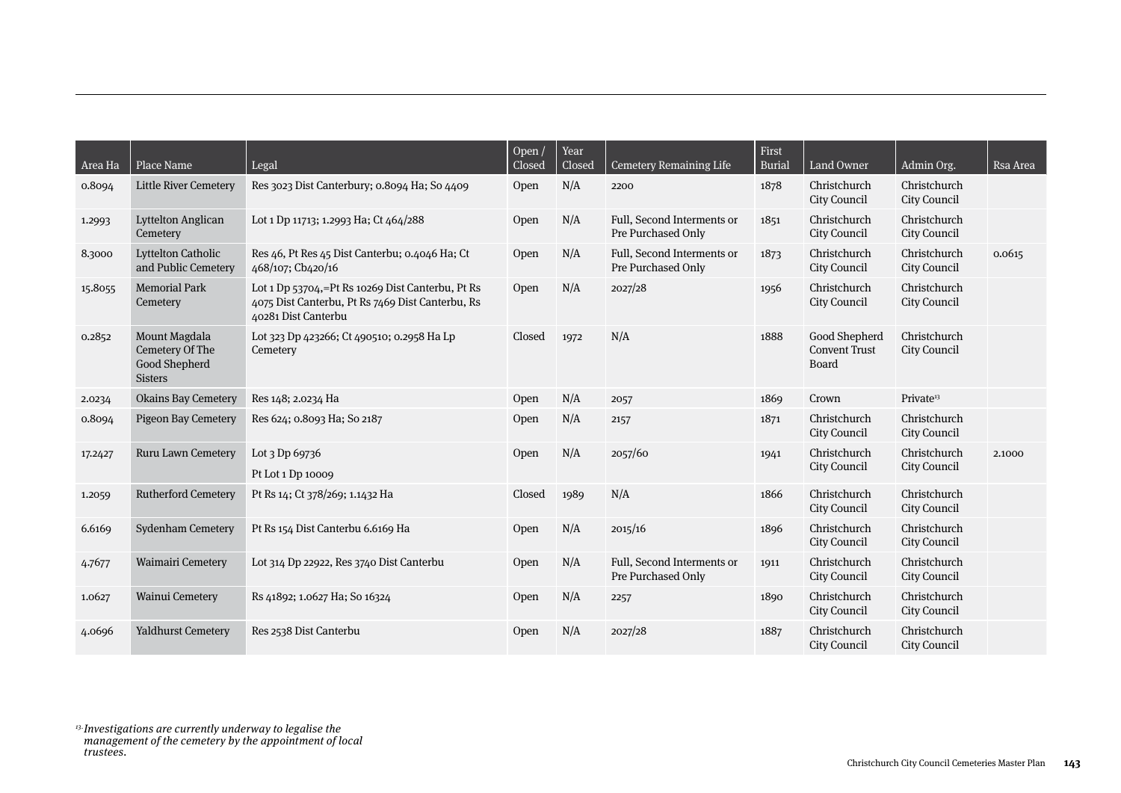| Area Ha | Place Name                                                          | Legal                                                                                                                       | Open $/$<br>Closed | Year<br>Closed | <b>Cemetery Remaining Life</b>                   | First<br><b>Burial</b> | Land Owner                                            | Admin Org.                   | Rsa Area |
|---------|---------------------------------------------------------------------|-----------------------------------------------------------------------------------------------------------------------------|--------------------|----------------|--------------------------------------------------|------------------------|-------------------------------------------------------|------------------------------|----------|
| 0.8094  | <b>Little River Cemetery</b>                                        | Res 3023 Dist Canterbury; 0.8094 Ha; So 4409                                                                                | Open               | N/A            | 2200                                             | 1878                   | Christchurch<br>City Council                          | Christchurch<br>City Council |          |
| 1.2993  | <b>Lyttelton Anglican</b><br>Cemetery                               | Lot 1 Dp 11713; 1.2993 Ha; Ct 464/288                                                                                       | Open               | N/A            | Full, Second Interments or<br>Pre Purchased Only | 1851                   | Christchurch<br>City Council                          | Christchurch<br>City Council |          |
| 8.3000  | <b>Lyttelton Catholic</b><br>and Public Cemetery                    | Res 46, Pt Res 45 Dist Canterbu; 0.4046 Ha; Ct<br>468/107; Cb420/16                                                         | Open               | N/A            | Full, Second Interments or<br>Pre Purchased Only | 1873                   | Christchurch<br>City Council                          | Christchurch<br>City Council | 0.0615   |
| 15.8055 | <b>Memorial Park</b><br>Cemetery                                    | Lot 1 Dp 53704,=Pt Rs 10269 Dist Canterbu, Pt Rs<br>4075 Dist Canterbu, Pt Rs 7469 Dist Canterbu, Rs<br>40281 Dist Canterbu | Open               | N/A            | 2027/28                                          | 1956                   | Christchurch<br>City Council                          | Christchurch<br>City Council |          |
| 0.2852  | Mount Magdala<br>Cemetery Of The<br>Good Shepherd<br><b>Sisters</b> | Lot 323 Dp 423266; Ct 490510; 0.2958 Ha Lp<br>Cemetery                                                                      | Closed             | 1972           | N/A                                              | 1888                   | Good Shepherd<br><b>Convent Trust</b><br><b>Board</b> | Christchurch<br>City Council |          |
| 2.0234  | <b>Okains Bay Cemetery</b>                                          | Res 148; 2.0234 Ha                                                                                                          | Open               | N/A            | 2057                                             | 1869                   | Crown                                                 | Private <sup>13</sup>        |          |
| 0.8094  | <b>Pigeon Bay Cemetery</b>                                          | Res 624; 0.8093 Ha; So 2187                                                                                                 | Open               | N/A            | 2157                                             | 1871                   | Christchurch<br>City Council                          | Christchurch<br>City Council |          |
| 17.2427 | Ruru Lawn Cemetery                                                  | Lot 3 Dp 69736<br>Pt Lot 1 Dp 10009                                                                                         | Open               | N/A            | 2057/60                                          | 1941                   | Christchurch<br>City Council                          | Christchurch<br>City Council | 2.1000   |
| 1.2059  | <b>Rutherford Cemetery</b>                                          | Pt Rs 14; Ct 378/269; 1.1432 Ha                                                                                             | Closed             | 1989           | N/A                                              | 1866                   | Christchurch<br>City Council                          | Christchurch<br>City Council |          |
| 6.6169  | Sydenham Cemetery                                                   | Pt Rs 154 Dist Canterbu 6.6169 Ha                                                                                           | Open               | N/A            | 2015/16                                          | 1896                   | Christchurch<br>City Council                          | Christchurch<br>City Council |          |
| 4.7677  | Waimairi Cemetery                                                   | Lot 314 Dp 22922, Res 3740 Dist Canterbu                                                                                    | Open               | N/A            | Full, Second Interments or<br>Pre Purchased Only | 1911                   | Christchurch<br>City Council                          | Christchurch<br>City Council |          |
| 1.0627  | Wainui Cemetery                                                     | Rs 41892; 1.0627 Ha; So 16324                                                                                               | Open               | N/A            | 2257                                             | 1890                   | Christchurch<br>City Council                          | Christchurch<br>City Council |          |
| 4.0696  | Yaldhurst Cemetery                                                  | Res 2538 Dist Canterbu                                                                                                      | Open               | N/A            | 2027/28                                          | 1887                   | Christchurch<br>City Council                          | Christchurch<br>City Council |          |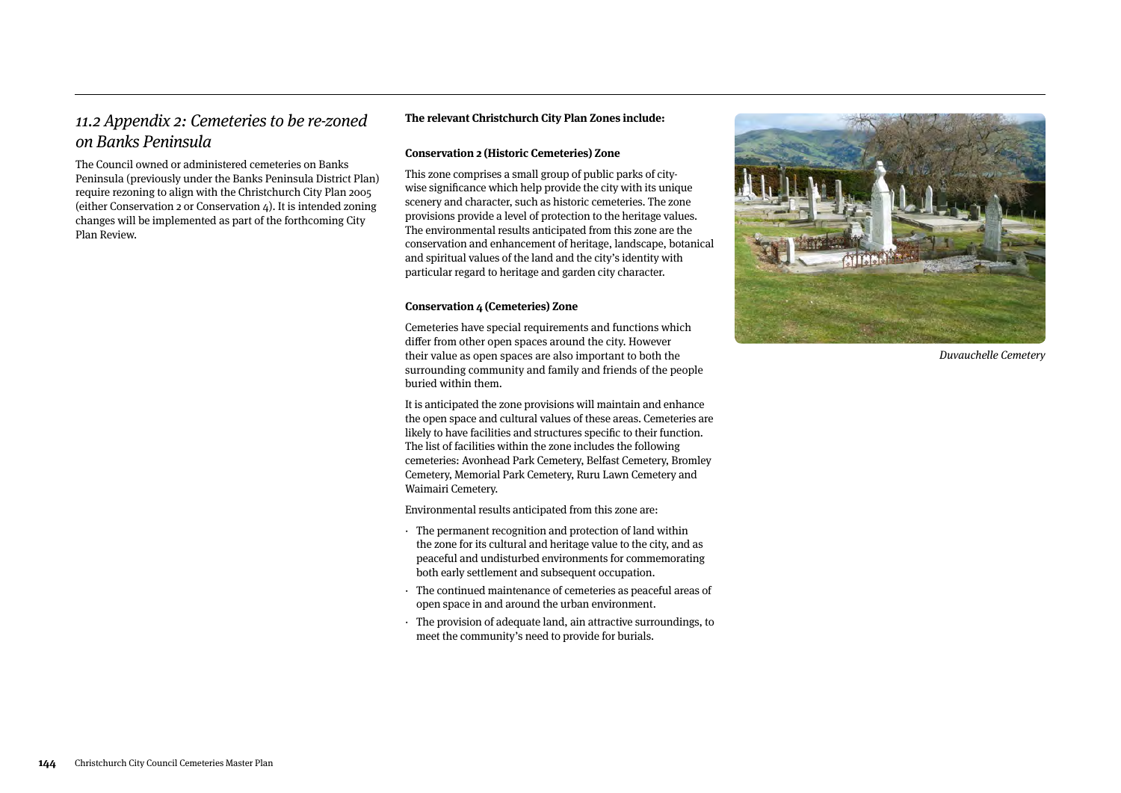### 11.2 Appendix 2: Cemeteries to be re-zoned on Banks Peninsula

The Council owned or administered cemeteries on Banks Peninsula (previously under the Banks Peninsula District Plan) require rezoning to align with the Christchurch City Plan 2005 (either Conservation 2 or Conservation 4). It is intended zoning changes will be implemented as part of the forthcoming City Plan Review.

#### **The relevant Christchurch City Plan Zones include:**

#### **Conservation 2 (Historic Cemeteries) Zone**

This zone comprises a small group of public parks of citywise significance which help provide the city with its unique scenery and character, such as historic cemeteries. The zone provisions provide a level of protection to the heritage values. The environmental results anticipated from this zone are the conservation and enhancement of heritage, landscape, botanical and spiritual values of the land and the city's identity with particular regard to heritage and garden city character.

#### **Conservation 4 (Cemeteries) Zone**

Cemeteries have special requirements and functions which differ from other open spaces around the city. However their value as open spaces are also important to both the surrounding community and family and friends of the people buried within them.

It is anticipated the zone provisions will maintain and enhance the open space and cultural values of these areas. Cemeteries are likely to have facilities and structures specific to their function. The list of facilities within the zone includes the following cemeteries: Avonhead Park Cemetery, Belfast Cemetery, Bromley Cemetery, Memorial Park Cemetery, Ruru Lawn Cemetery and Waimairi Cemetery.

Environmental results anticipated from this zone are:

- · The permanent recognition and protection of land within the zone for its cultural and heritage value to the city, and as peaceful and undisturbed environments for commemorating both early settlement and subsequent occupation.
- The continued maintenance of cemeteries as peaceful areas of open space in and around the urban environment.
- · The provision of adequate land, ain attractive surroundings, to meet the community's need to provide for burials.



Duvauchelle Cemetery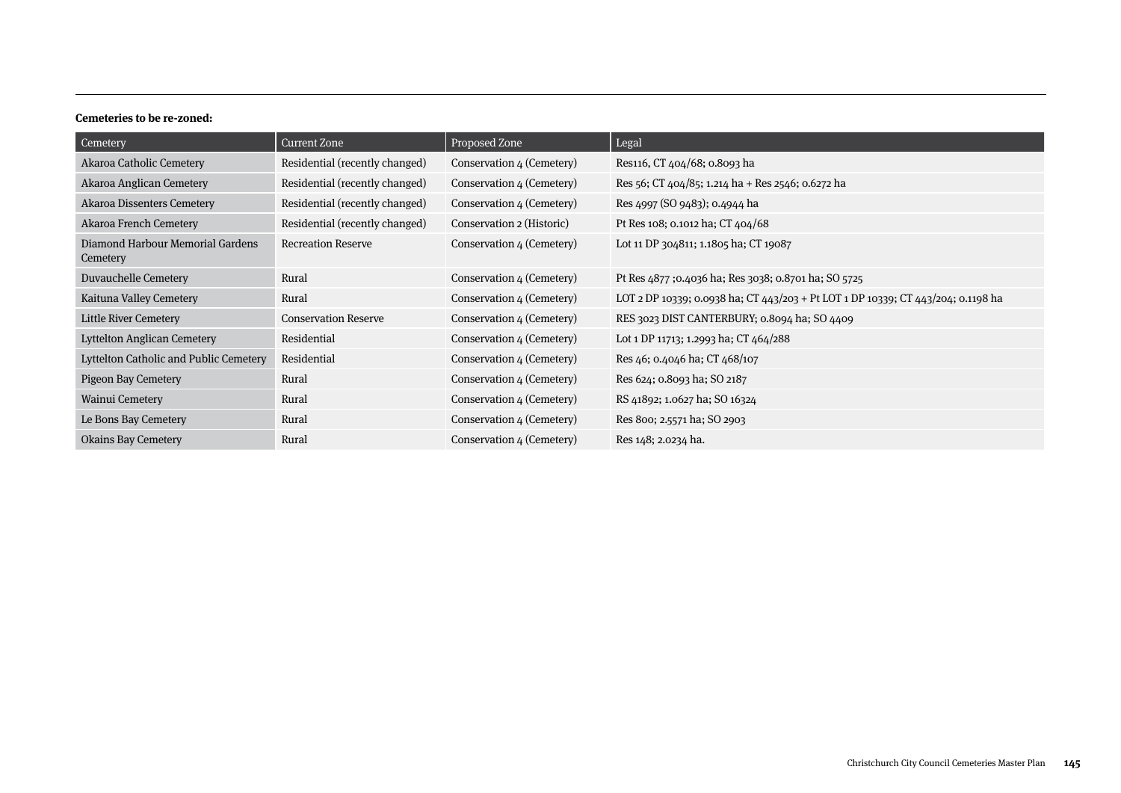#### **Cemeteries to be re-zoned:**

| Cemetery                                     | Current Zone                   | Proposed Zone             | Legal                                                                            |
|----------------------------------------------|--------------------------------|---------------------------|----------------------------------------------------------------------------------|
| Akaroa Catholic Cemetery                     | Residential (recently changed) | Conservation 4 (Cemetery) | Res116, CT 404/68; 0.8093 ha                                                     |
| Akaroa Anglican Cemetery                     | Residential (recently changed) | Conservation 4 (Cemetery) | Res 56; CT $404/85$ ; 1.214 ha + Res 2546; 0.6272 ha                             |
| Akaroa Dissenters Cemetery                   | Residential (recently changed) | Conservation 4 (Cemetery) | Res 4997 (SO 9483); 0.4944 ha                                                    |
| Akaroa French Cemetery                       | Residential (recently changed) | Conservation 2 (Historic) | Pt Res 108; 0.1012 ha; CT 404/68                                                 |
| Diamond Harbour Memorial Gardens<br>Cemetery | <b>Recreation Reserve</b>      | Conservation 4 (Cemetery) | Lot 11 DP 304811; 1.1805 ha; CT 19087                                            |
| Duvauchelle Cemetery                         | Rural                          | Conservation 4 (Cemetery) | Pt Res 4877 ;0.4036 ha; Res 3038; 0.8701 ha; SO 5725                             |
| Kaituna Valley Cemetery                      | Rural                          | Conservation 4 (Cemetery) | LOT 2 DP 10339; 0.0938 ha; CT 443/203 + Pt LOT 1 DP 10339; CT 443/204; 0.1198 ha |
| <b>Little River Cemetery</b>                 | <b>Conservation Reserve</b>    | Conservation 4 (Cemetery) | RES 3023 DIST CANTERBURY; 0.8094 ha; SO 4409                                     |
| Lyttelton Anglican Cemetery                  | Residential                    | Conservation 4 (Cemetery) | Lot 1 DP 11713; 1.2993 ha; CT 464/288                                            |
| Lyttelton Catholic and Public Cemetery       | Residential                    | Conservation 4 (Cemetery) | Res 46; 0.4046 ha; CT 468/107                                                    |
| <b>Pigeon Bay Cemetery</b>                   | Rural                          | Conservation 4 (Cemetery) | Res 624; 0.8093 ha; SO 2187                                                      |
| Wainui Cemetery                              | Rural                          | Conservation 4 (Cemetery) | RS 41892; 1.0627 ha; SO 16324                                                    |
| Le Bons Bay Cemetery                         | Rural                          | Conservation 4 (Cemetery) | Res 800; 2.5571 ha; SO 2903                                                      |
| <b>Okains Bay Cemetery</b>                   | Rural                          | Conservation 4 (Cemetery) | Res 148; 2.0234 ha.                                                              |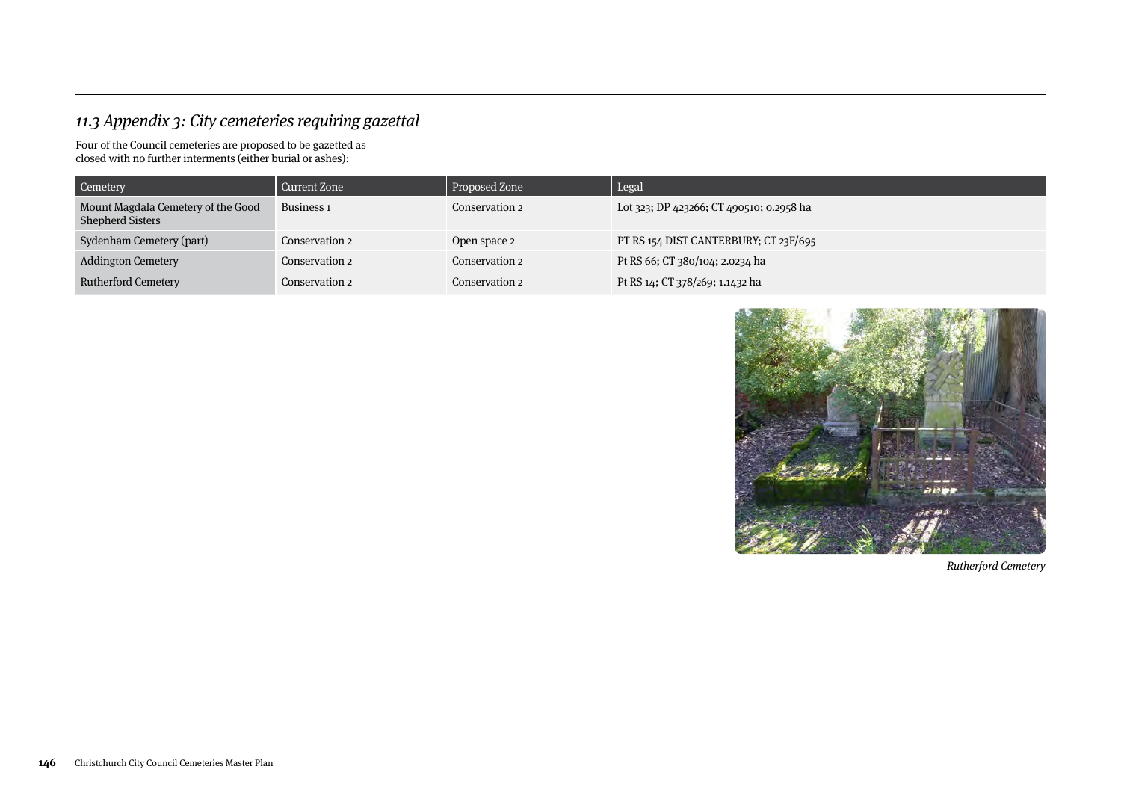# 11.3 Appendix 3: City cemeteries requiring gazettal

Four of the Council cemeteries are proposed to be gazetted as closed with no further interments (either burial or ashes):

| Cemetery                                                      | Current Zone          | Proposed Zone  | Legal                                    |
|---------------------------------------------------------------|-----------------------|----------------|------------------------------------------|
| Mount Magdala Cemetery of the Good<br><b>Shepherd Sisters</b> | Business <sub>1</sub> | Conservation 2 | Lot 323; DP 423266; CT 490510; 0.2958 ha |
| Sydenham Cemetery (part)                                      | Conservation 2        | Open space 2   | PT RS 154 DIST CANTERBURY; CT 23F/695    |
| <b>Addington Cemetery</b>                                     | Conservation 2        | Conservation 2 | Pt RS 66; CT 380/104; 2.0234 ha          |
| <b>Rutherford Cemetery</b>                                    | Conservation 2        | Conservation 2 | Pt RS 14; CT 378/269; 1.1432 ha          |



Rutherford Cemetery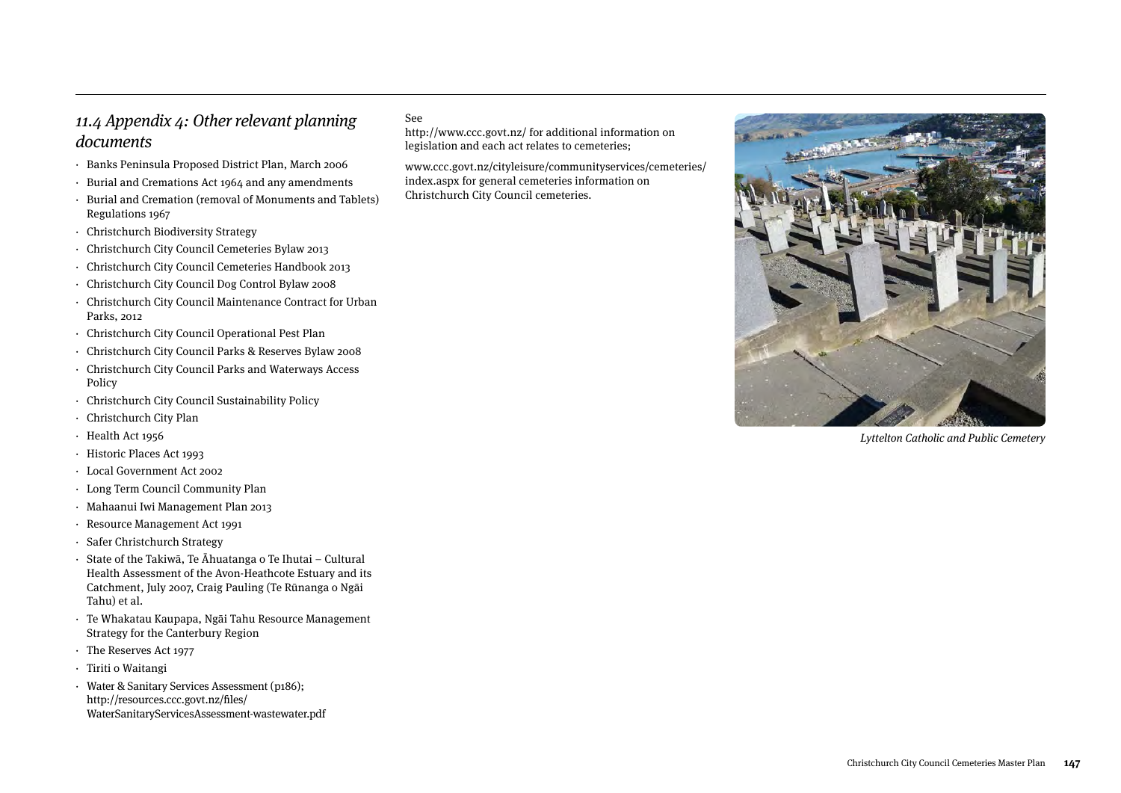## 11.4 Appendix 4: Other relevant planning documents

- · Banks Peninsula Proposed District Plan, March 2006
- · Burial and Cremations Act 1964 and any amendments
- · Burial and Cremation (removal of Monuments and Tablets) Regulations 1967
- · Christchurch Biodiversity Strategy
- · Christchurch City Council Cemeteries Bylaw 2013
- · Christchurch City Council Cemeteries Handbook 2013
- · Christchurch City Council Dog Control Bylaw 2008
- · Christchurch City Council Maintenance Contract for Urban Parks, 2012
- · Christchurch City Council Operational Pest Plan
- · Christchurch City Council Parks & Reserves Bylaw 2008
- · Christchurch City Council Parks and Waterways Access Policy
- · Christchurch City Council Sustainability Policy
- · Christchurch City Plan
- · Health Act 1956
- · Historic Places Act 1993
- · Local Government Act 2002
- · Long Term Council Community Plan
- · Mahaanui Iwi Management Plan 2013
- · Resource Management Act 1991
- · Safer Christchurch Strategy
- · State of the Takiwā, Te Āhuatanga o Te Ihutai Cultural Health Assessment of the Avon-Heathcote Estuary and its Catchment, July 2007, Craig Pauling (Te Rūnanga o Ngāi Tahu) et al.
- · Te Whakatau Kaupapa, Ngāi Tahu Resource Management Strategy for the Canterbury Region
- · The Reserves Act 1977
- · Tiriti o Waitangi
- · Water & Sanitary Services Assessment (p186); http://resources.ccc.govt.nz/files/ WaterSanitaryServicesAssessment-wastewater.pdf

#### See

http://www.ccc.govt.nz/ for additional information on legislation and each act relates to cemeteries;

www.ccc.govt.nz/cityleisure/communityservices/cemeteries/ index.aspx for general cemeteries information on Christchurch City Council cemeteries.



Lyttelton Catholic and Public Cemetery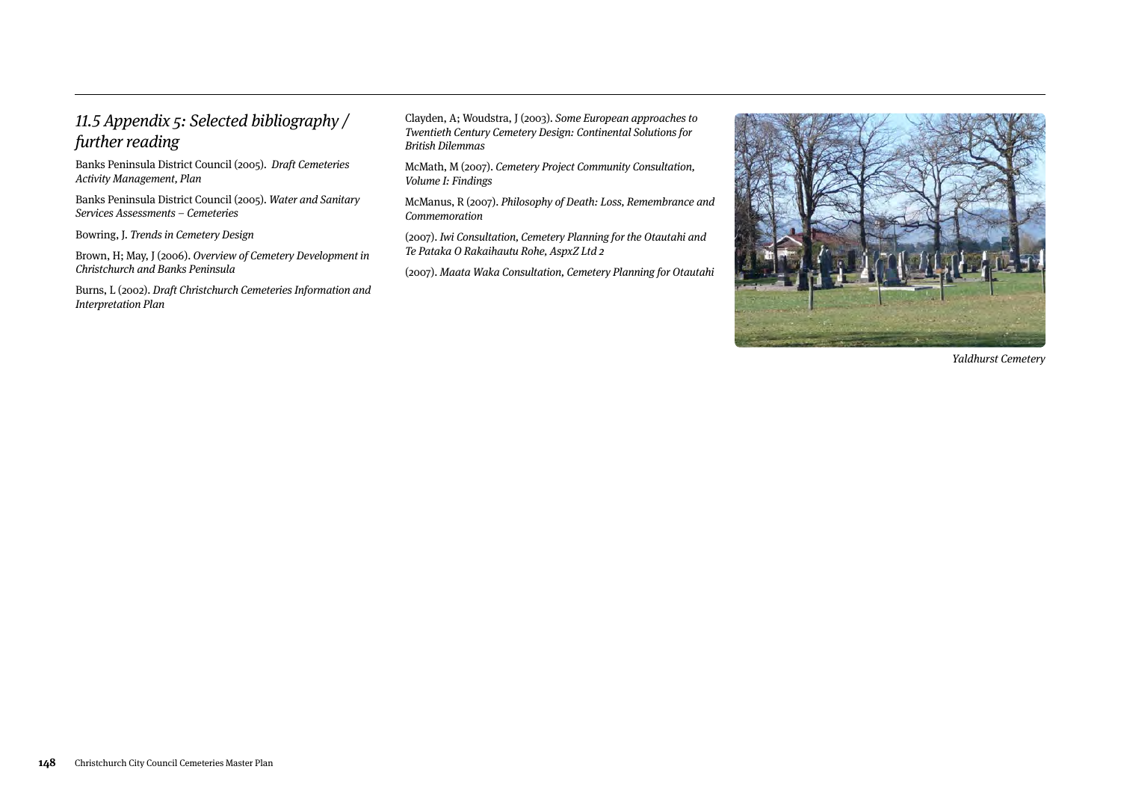### 11.5 Appendix 5: Selected bibliography / further reading

Banks Peninsula District Council (2005). Draft Cemeteries Activity Management, Plan

Banks Peninsula District Council (2005). Water and Sanitary Services Assessments – Cemeteries

Bowring, J. Trends in Cemetery Design

Brown, H; May, J (2006). Overview of Cemetery Development in Christchurch and Banks Peninsula

Burns, L (2002). Draft Christchurch Cemeteries Information and Interpretation Plan

Clayden, A; Woudstra, J (2003). Some European approaches to Twentieth Century Cemetery Design: Continental Solutions for British Dilemmas

McMath, M (2007). Cemetery Project Community Consultation, Volume I: Findings

McManus, R (2007). Philosophy of Death: Loss, Remembrance and Commemoration

(2007). Iwi Consultation, Cemetery Planning for the Otautahi and Te Pataka O Rakaihautu Rohe, AspxZ Ltd 2

(2007). Maata Waka Consultation, Cemetery Planning for Otautahi



Yaldhurst Cemetery